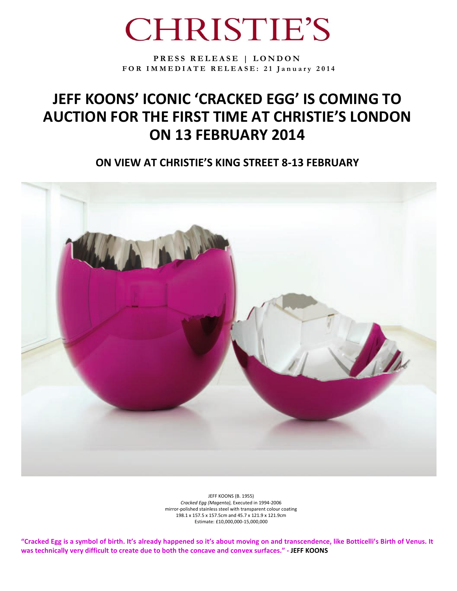# **CHRISTIE'S**

**P R E S S R E L E A S E | L O N D O N F O R I M M E D I A T E R E L E A S E : 2 1 J a n u a r y 2 0 1 4**

## **JEFF KOONS' ICONIC 'CRACKED EGG' IS COMING TO AUCTION FOR THE FIRST TIME AT CHRISTIE'S LONDON ON 13 FEBRUARY 2014**

**ON VIEW AT CHRISTIE'S KING STREET 8-13 FEBRUARY**



JEFF KOONS (B. 1955) *Cracked Egg (Magenta),* Executed in 1994-2006 mirror-polished stainless steel with transparent colour coating 198.1 x 157.5 x 157.5cm and 45.7 x 121.9 x 121.9cm Estimate: £10,000,000-15,000,000

**"Cracked Egg is a symbol of birth. It's already happened so it's about moving on and transcendence, like Botticelli's Birth of Venus. It was technically very difficult to create due to both the concave and convex surfaces." - JEFF KOONS**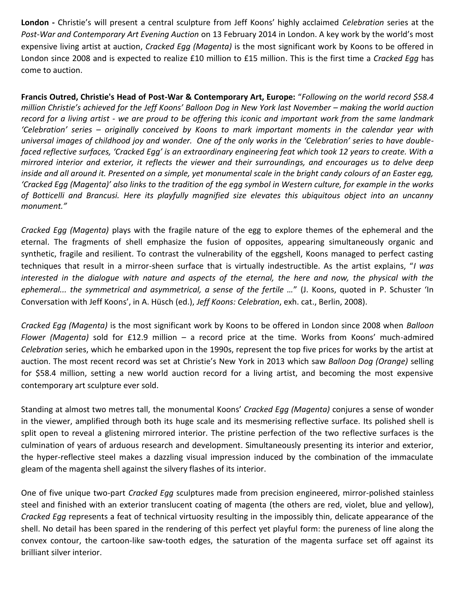**London -** Christie's will present a central sculpture from Jeff Koons' highly acclaimed *Celebration* series at the *Post-War and Contemporary Art Evening Auction* on 13 February 2014 in London. A key work by the world's most expensive living artist at auction, *Cracked Egg (Magenta)* is the most significant work by Koons to be offered in London since 2008 and is expected to realize £10 million to £15 million. This is the first time a *Cracked Egg* has come to auction.

**Francis Outred, Christie's Head of Post-War & Contemporary Art, Europe:** "*Following on the world record \$58.4 million Christie's achieved for the Jeff Koons' Balloon Dog in New York last November – making the world auction record for a living artist - we are proud to be offering this iconic and important work from the same landmark 'Celebration' series – originally conceived by Koons to mark important moments in the calendar year with universal images of childhood joy and wonder. One of the only works in the 'Celebration' series to have doublefaced reflective surfaces, 'Cracked Egg' is an extraordinary engineering feat which took 12 years to create. With a mirrored interior and exterior, it reflects the viewer and their surroundings, and encourages us to delve deep inside and all around it. Presented on a simple, yet monumental scale in the bright candy colours of an Easter egg,*  'Cracked Egg (Magenta)' also links to the tradition of the egg symbol in Western culture, for example in the works *of Botticelli and Brancusi. Here its playfully magnified size elevates this ubiquitous object into an uncanny monument."*

*Cracked Egg (Magenta)* plays with the fragile nature of the egg to explore themes of the ephemeral and the eternal. The fragments of shell emphasize the fusion of opposites, appearing simultaneously organic and synthetic, fragile and resilient. To contrast the vulnerability of the eggshell, Koons managed to perfect casting techniques that result in a mirror-sheen surface that is virtually indestructible. As the artist explains, "*I was interested in the dialogue with nature and aspects of the eternal, the here and now, the physical with the ephemeral... the symmetrical and asymmetrical, a sense of the fertile …*" (J. Koons, quoted in P. Schuster 'In Conversation with Jeff Koons', in A. Hüsch (ed.), *Jeff Koons: Celebration*, exh. cat., Berlin, 2008).

*Cracked Egg (Magenta)* is the most significant work by Koons to be offered in London since 2008 when *Balloon Flower (Magenta)* sold for £12.9 million – a record price at the time. Works from Koons' much-admired *Celebration* series, which he embarked upon in the 1990s, represent the top five prices for works by the artist at auction. The most recent record was set at Christie's New York in 2013 which saw *Balloon Dog (Orange)* selling for \$58.4 million, setting a new world auction record for a living artist, and becoming the most expensive contemporary art sculpture ever sold.

Standing at almost two metres tall, the monumental Koons' *Cracked Egg (Magenta)* conjures a sense of wonder in the viewer, amplified through both its huge scale and its mesmerising reflective surface. Its polished shell is split open to reveal a glistening mirrored interior. The pristine perfection of the two reflective surfaces is the culmination of years of arduous research and development. Simultaneously presenting its interior and exterior, the hyper-reflective steel makes a dazzling visual impression induced by the combination of the immaculate gleam of the magenta shell against the silvery flashes of its interior.

One of five unique two-part *Cracked Egg* sculptures made from precision engineered, mirror-polished stainless steel and finished with an exterior translucent coating of magenta (the others are red, violet, blue and yellow), *Cracked Egg* represents a feat of technical virtuosity resulting in the impossibly thin, delicate appearance of the shell. No detail has been spared in the rendering of this perfect yet playful form: the pureness of line along the convex contour, the cartoon-like saw-tooth edges, the saturation of the magenta surface set off against its brilliant silver interior.